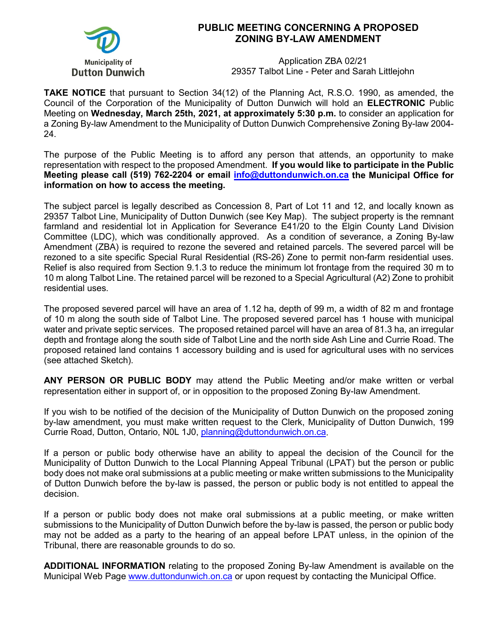

## **PUBLIC MEETING CONCERNING A PROPOSED ZONING BY-LAW AMENDMENT**

Application ZBA 02/21 29357 Talbot Line - Peter and Sarah Littlejohn

**TAKE NOTICE** that pursuant to Section 34(12) of the Planning Act, R.S.O. 1990, as amended, the Council of the Corporation of the Municipality of Dutton Dunwich will hold an **ELECTRONIC** Public Meeting on **Wednesday, March 25th, 2021, at approximately 5:30 p.m.** to consider an application for a Zoning By-law Amendment to the Municipality of Dutton Dunwich Comprehensive Zoning By-law 2004- 24.

The purpose of the Public Meeting is to afford any person that attends, an opportunity to make representation with respect to the proposed Amendment. **If you would like to participate in the Public Meeting please call (519) 762-2204 or email [info@duttondunwich.on.ca](mailto:info@duttondunwich.on.ca) the Municipal Office for information on how to access the meeting.**

The subject parcel is legally described as Concession 8, Part of Lot 11 and 12, and locally known as 29357 Talbot Line, Municipality of Dutton Dunwich (see Key Map). The subject property is the remnant farmland and residential lot in Application for Severance E41/20 to the Elgin County Land Division Committee (LDC), which was conditionally approved. As a condition of severance, a Zoning By-law Amendment (ZBA) is required to rezone the severed and retained parcels. The severed parcel will be rezoned to a site specific Special Rural Residential (RS-26) Zone to permit non-farm residential uses. Relief is also required from Section 9.1.3 to reduce the minimum lot frontage from the required 30 m to 10 m along Talbot Line. The retained parcel will be rezoned to a Special Agricultural (A2) Zone to prohibit residential uses.

The proposed severed parcel will have an area of 1.12 ha, depth of 99 m, a width of 82 m and frontage of 10 m along the south side of Talbot Line. The proposed severed parcel has 1 house with municipal water and private septic services. The proposed retained parcel will have an area of 81.3 ha, an irregular depth and frontage along the south side of Talbot Line and the north side Ash Line and Currie Road. The proposed retained land contains 1 accessory building and is used for agricultural uses with no services (see attached Sketch).

**ANY PERSON OR PUBLIC BODY** may attend the Public Meeting and/or make written or verbal representation either in support of, or in opposition to the proposed Zoning By-law Amendment.

If you wish to be notified of the decision of the Municipality of Dutton Dunwich on the proposed zoning by-law amendment, you must make written request to the Clerk, Municipality of Dutton Dunwich, 199 Currie Road, Dutton, Ontario, N0L 1J0, [planning@duttondunwich.on.ca.](mailto:planning@duttondunwich.on.ca)

If a person or public body otherwise have an ability to appeal the decision of the Council for the Municipality of Dutton Dunwich to the Local Planning Appeal Tribunal (LPAT) but the person or public body does not make oral submissions at a public meeting or make written submissions to the Municipality of Dutton Dunwich before the by-law is passed, the person or public body is not entitled to appeal the decision.

If a person or public body does not make oral submissions at a public meeting, or make written submissions to the Municipality of Dutton Dunwich before the by-law is passed, the person or public body may not be added as a party to the hearing of an appeal before LPAT unless, in the opinion of the Tribunal, there are reasonable grounds to do so.

**ADDITIONAL INFORMATION** relating to the proposed Zoning By-law Amendment is available on the Municipal Web Page [www.duttondunwich.on.ca](http://www.duttondunwich.on.ca/) or upon request by contacting the Municipal Office.